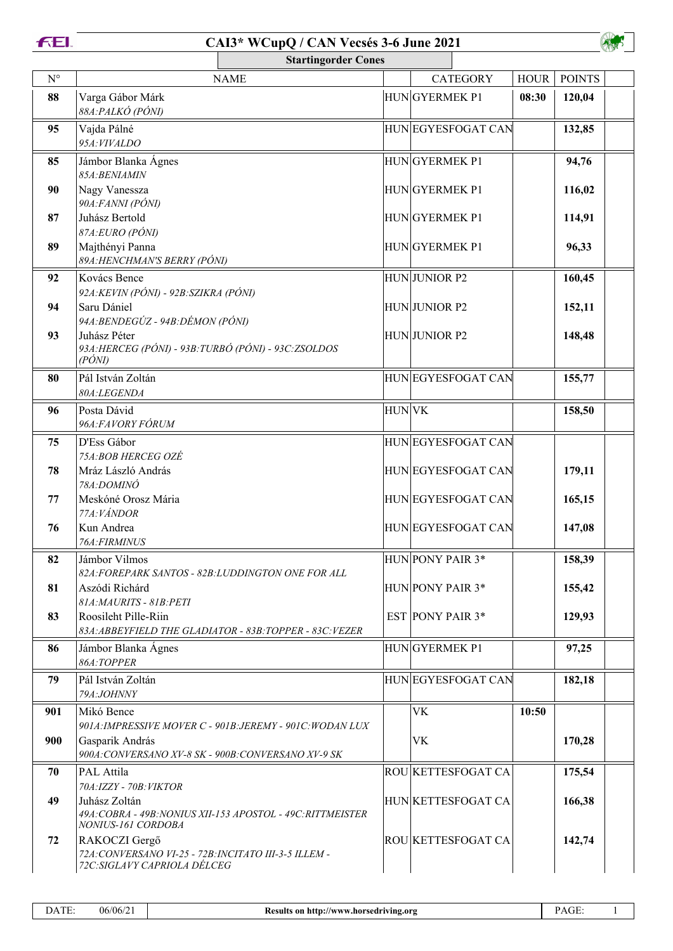| Ξ | ________ |  |
|---|----------|--|



| <b>Startingorder Cones</b> |                                                                                                        |                                                             |              |                         |                           |             |               |
|----------------------------|--------------------------------------------------------------------------------------------------------|-------------------------------------------------------------|--------------|-------------------------|---------------------------|-------------|---------------|
| $\mathbf{N}^{\circ}$       |                                                                                                        | <b>NAME</b>                                                 |              |                         | <b>CATEGORY</b>           | <b>HOUR</b> | <b>POINTS</b> |
| 88                         | Varga Gábor Márk<br>88A: PALKÓ (PÓNI)                                                                  |                                                             |              | HUNGYERMEK P1           |                           | 08:30       | 120,04        |
| 95                         | Vajda Pálné<br>95A: VIVALDO                                                                            |                                                             |              |                         | HUNEGYESFOGAT CAN         |             | 132,85        |
| 85                         | Jámbor Blanka Ágnes<br>85A: BENIAMIN                                                                   |                                                             |              | HUNGYERMEK P1           |                           |             | 94,76         |
| 90                         | Nagy Vanessza<br>90A: FANNI (PÓNI)                                                                     |                                                             |              | HUNGYERMEK P1           |                           |             | 116,02        |
| 87                         | Juhász Bertold<br>87A:EURO (PÓNI)                                                                      |                                                             |              | HUNGYERMEK P1           |                           |             | 114,91        |
| 89                         | Majthényi Panna<br>89A: HENCHMAN'S BERRY (PÓNI)                                                        |                                                             |              | HUNGYERMEK P1           |                           |             | 96,33         |
| 92                         | Kovács Bence<br>92A: KEVIN (PÓNI) - 92B: SZIKRA (PÓNI)                                                 |                                                             |              | HUNJUNIOR P2            |                           |             | 160,45        |
| 94                         | Saru Dániel<br>94A: BENDEGÚZ - 94B: DÉMON (PÓNI)                                                       |                                                             |              | HUNJUNIOR P2            |                           |             | 152,11        |
| 93                         | Juhász Péter<br>93A: HERCEG (PÓNI) - 93B: TURBÓ (PÓNI) - 93C: ZSOLDOS<br>$(P\acute{O}NI)$              |                                                             |              | HUNJUNIOR P2            |                           |             | 148,48        |
| 80                         | Pál István Zoltán<br>80A:LEGENDA                                                                       |                                                             |              |                         | HUNEGYESFOGAT CAN         |             | 155,77        |
| 96                         | Posta Dávid<br>96A: FAVORY FÓRUM                                                                       |                                                             | <b>HUNVK</b> |                         |                           |             | 158,50        |
| 75                         | D'Ess Gábor<br>75A:BOB HERCEG OZÉ                                                                      |                                                             |              |                         | HUNEGYESFOGAT CAN         |             |               |
| 78                         | Mráz László András<br>78A:DOMINÓ                                                                       |                                                             |              |                         | HUNEGYESFOGAT CAN         |             | 179,11        |
| 77                         | Meskóné Orosz Mária<br>77A: VÁNDOR                                                                     |                                                             |              |                         | HUNEGYESFOGAT CAN         |             | 165,15        |
| 76                         | Kun Andrea<br>76A: FIRMINUS                                                                            |                                                             |              |                         | HUNEGYESFOGAT CAN         |             | 147,08        |
| 82                         | Jámbor Vilmos<br>82A: FOREPARK SANTOS - 82B: LUDDINGTON ONE FOR ALL                                    |                                                             |              | HUN PONY PAIR 3*        |                           |             | 158,39        |
| 81                         | Aszódi Richárd<br>81A: MAURITS - 81B: PETI                                                             |                                                             |              | HUN PONY PAIR 3*        |                           |             | 155,42        |
| 83                         | Roosileht Pille-Riin                                                                                   | 83A: ABBEYFIELD THE GLADIATOR - 83B: TOPPER - 83C: VEZER    |              | <b>EST PONY PAIR 3*</b> |                           |             | 129,93        |
| 86                         | Jámbor Blanka Ágnes<br>86A:TOPPER                                                                      |                                                             |              | HUNGYERMEK P1           |                           |             | 97,25         |
| 79                         | Pál István Zoltán<br>79A:JOHNNY                                                                        |                                                             |              |                         | HUNEGYESFOGAT CAN         |             | 182,18        |
| 901                        | Mikó Bence                                                                                             | 901A: IMPRESSIVE MOVER C - 901B: JEREMY - 901C: WODAN LUX   |              | <b>VK</b>               |                           | 10:50       |               |
| 900                        | Gasparik András<br>900A: CONVERSANO XV-8 SK - 900B: CONVERSANO XV-9 SK                                 |                                                             |              | VK                      |                           |             | 170,28        |
| 70                         | PAL Attila<br>70A:IZZY - 70B: VIKTOR                                                                   |                                                             |              |                         | ROU KETTESFOGAT CA        |             | 175,54        |
| 49                         | Juhász Zoltán<br>NONIUS-161 CORDOBA                                                                    | 49A: COBRA - 49B: NONIUS XII-153 APOSTOL - 49C: RITTMEISTER |              |                         | HUN KETTESFOGAT CA        |             | 166,38        |
| 72                         | RAKOCZI Gergő<br>72A: CONVERSANO VI-25 - 72B: INCITATO III-3-5 ILLEM -<br>72C: SIGLAVY CAPRIOLA DÉLCEG |                                                             |              |                         | <b>ROU KETTESFOGAT CA</b> |             | 142,74        |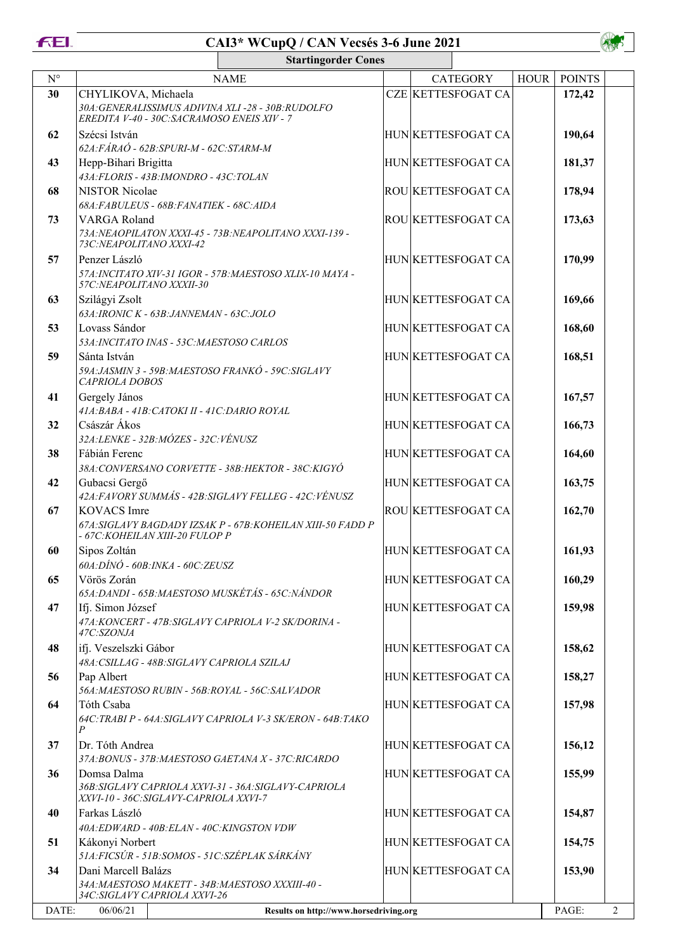**FEL** 



|             | <b>Startingorder Cones</b>                                                                                              |  |  |                           |             |               |  |
|-------------|-------------------------------------------------------------------------------------------------------------------------|--|--|---------------------------|-------------|---------------|--|
| $N^{\circ}$ | <b>NAME</b>                                                                                                             |  |  | <b>CATEGORY</b>           | <b>HOUR</b> | <b>POINTS</b> |  |
| 30          | CHYLIKOVA, Michaela<br>30A: GENERALISSIMUS ADIVINA XLI-28 - 30B: RUDOLFO<br>EREDITA V-40 - 30C: SACRAMOSO ENEIS XIV - 7 |  |  | <b>CZE KETTESFOGAT CA</b> |             | 172,42        |  |
| 62          | Szécsi István<br>62A: FÁRAÓ - 62B: SPURI-M - 62C: STARM-M                                                               |  |  | HUN KETTESFOGAT CA        |             | 190,64        |  |
| 43          | Hepp-Bihari Brigitta<br>43A: FLORIS - 43B: IMONDRO - 43C: TOLAN                                                         |  |  | HUN KETTESFOGAT CA        |             | 181,37        |  |
| 68          | <b>NISTOR Nicolae</b><br>68A: FABULEUS - 68B: FANATIEK - 68C: AIDA                                                      |  |  | ROU KETTESFOGAT CA        |             | 178,94        |  |
| 73          | VARGA Roland<br>73A: NEAOPILATON XXXI-45 - 73B: NEAPOLITANO XXXI-139 -<br>73C: NEAPOLITANO XXXI-42                      |  |  | <b>ROU KETTESFOGAT CA</b> |             | 173,63        |  |
| 57          | Penzer László<br>57A: INCITATO XIV-31 IGOR - 57B: MAESTOSO XLIX-10 MAYA -<br>57C: NEAPOLITANO XXXII-30                  |  |  | HUN KETTESFOGAT CA        |             | 170,99        |  |
| 63          | Szilágyi Zsolt<br>63A: IRONIC K - 63B: JANNEMAN - 63C: JOLO                                                             |  |  | HUN KETTESFOGAT CA        |             | 169,66        |  |
| 53          | Lovass Sándor<br>53A: INCITATO INAS - 53C: MAESTOSO CARLOS                                                              |  |  | HUN KETTESFOGAT CA        |             | 168,60        |  |
| 59          | Sánta István<br>59A: JASMIN 3 - 59B: MAESTOSO FRANKÓ - 59C: SIGLAVY<br><b>CAPRIOLA DOBOS</b>                            |  |  | HUN KETTESFOGAT CA        |             | 168,51        |  |
| 41          | Gergely János<br>41A: BABA - 41B: CATOKI II - 41C: DARIO ROYAL                                                          |  |  | HUN KETTESFOGAT CA        |             | 167,57        |  |
| 32          | Császár Ákos<br>32A:LENKE - 32B:MÓZES - 32C:VÉNUSZ                                                                      |  |  | HUN KETTESFOGAT CA        |             | 166,73        |  |
| 38          | Fábián Ferenc<br>38A: CONVERSANO CORVETTE - 38B: HEKTOR - 38C: KIGYÓ                                                    |  |  | HUN KETTESFOGAT CA        |             | 164,60        |  |
| 42          | Gubacsi Gergő<br>42A: FAVORY SUMMÁS - 42B: SIGLAVY FELLEG - 42C: VÉNUSZ                                                 |  |  | HUN KETTESFOGAT CA        |             | 163,75        |  |
| 67          | <b>KOVACS</b> Imre<br>67A: SIGLAVY BAGDADY IZSAK P - 67B: KOHEILAN XIII-50 FADD P<br>- 67C:KOHEILAN XIII-20 FULOP P     |  |  | <b>ROU KETTESFOGAT CA</b> |             | 162,70        |  |
| 60          | Sipos Zoltán<br>$60A:DINO - 60B:INKA - 60C:ZEUSZ$                                                                       |  |  | HUN KETTESFOGAT CA        |             | 161,93        |  |
| 65          | Vörös Zorán<br>65A: DANDI - 65B: MAESTOSO MUSKÉTÁS - 65C: NÁNDOR                                                        |  |  | HUN KETTESFOGAT CA        |             | 160,29        |  |
| 47          | Ifj. Simon József<br>47A: KONCERT - 47B: SIGLAVY CAPRIOLA V-2 SK/DORINA -<br>47C:SZONJA                                 |  |  | HUN KETTESFOGAT CA        |             | 159,98        |  |
| 48          | ifj. Veszelszki Gábor<br>48A: CSILLAG - 48B: SIGLAVY CAPRIOLA SZILAJ                                                    |  |  | HUN KETTESFOGAT CA        |             | 158,62        |  |
| 56          | Pap Albert<br>56A: MAESTOSO RUBIN - 56B: ROYAL - 56C: SALVADOR                                                          |  |  | HUN KETTESFOGAT CA        |             | 158,27        |  |
| 64          | Tóth Csaba<br>64C: TRABI P - 64A: SIGLAVY CAPRIOLA V-3 SK/ERON - 64B: TAKO<br>P                                         |  |  | HUN KETTESFOGAT CA        |             | 157,98        |  |
| 37          | Dr. Tóth Andrea<br>37A: BONUS - 37B: MAESTOSO GAETANA X - 37C: RICARDO                                                  |  |  | HUN KETTESFOGAT CA        |             | 156,12        |  |
| 36          | Domsa Dalma<br>36B: SIGLAVY CAPRIOLA XXVI-31 - 36A: SIGLAVY-CAPRIOLA<br>XXVI-10 - 36C: SIGLAVY-CAPRIOLA XXVI-7          |  |  | HUN KETTESFOGAT CA        |             | 155,99        |  |
| 40          | Farkas László<br>40A:EDWARD - 40B:ELAN - 40C:KINGSTON VDW                                                               |  |  | HUN KETTESFOGAT CA        |             | 154,87        |  |
| 51          | Kákonyi Norbert<br>51A: FICSÚR - 51B: SOMOS - 51C: SZÉPLAK SÁRKÁNY                                                      |  |  | HUN KETTESFOGAT CA        |             | 154,75        |  |
| 34          | Dani Marcell Balázs<br>34A: MAESTOSO MAKETT - 34B: MAESTOSO XXXIII-40 -<br>34C:SIGLAVY CAPRIOLA XXVI-26                 |  |  | HUN KETTESFOGAT CA        |             | 153,90        |  |
| DATE:       | 06/06/21<br>Results on http://www.horsedriving.org                                                                      |  |  |                           |             |               |  |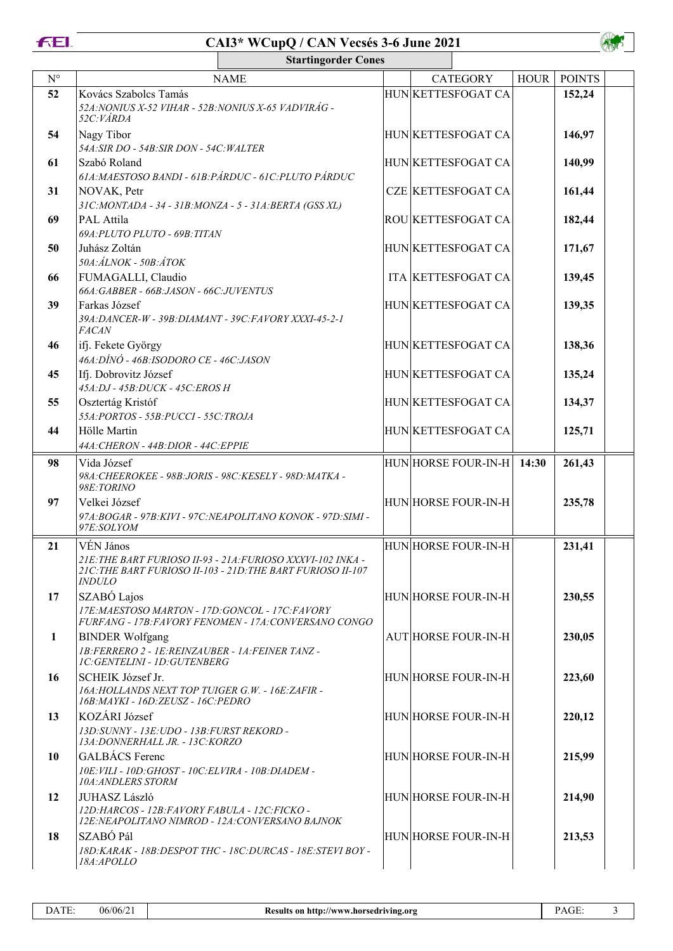**FEL** 



|              | <b>Startingorder Cones</b>                                                                                                  |                                                                                                                           |  |  |                            |             |               |  |
|--------------|-----------------------------------------------------------------------------------------------------------------------------|---------------------------------------------------------------------------------------------------------------------------|--|--|----------------------------|-------------|---------------|--|
| $N^{\circ}$  |                                                                                                                             | <b>NAME</b>                                                                                                               |  |  | <b>CATEGORY</b>            | <b>HOUR</b> | <b>POINTS</b> |  |
| 52           | Kovács Szabolcs Tamás<br>52A: NONIUS X-52 VIHAR - 52B: NONIUS X-65 VADVIRÁG -<br>52C: VÁRDA                                 |                                                                                                                           |  |  | HUN KETTESFOGAT CA         |             | 152,24        |  |
| 54           | Nagy Tibor<br>54A:SIR DO - 54B:SIR DON - 54C:WALTER                                                                         |                                                                                                                           |  |  | HUN KETTESFOGAT CA         |             | 146,97        |  |
| 61           | Szabó Roland<br>61A: MAESTOSO BANDI - 61B: PÁRDUC - 61C: PLUTO PÁRDUC                                                       |                                                                                                                           |  |  | HUN KETTESFOGAT CA         |             | 140,99        |  |
| 31           | NOVAK, Petr<br>31C:MONTADA - 34 - 31B:MONZA - 5 - 31A:BERTA (GSS XL)                                                        |                                                                                                                           |  |  | <b>CZE KETTESFOGAT CA</b>  |             | 161,44        |  |
| 69           | PAL Attila<br>69A: PLUTO PLUTO - 69B: TITAN                                                                                 |                                                                                                                           |  |  | ROU KETTESFOGAT CA         |             | 182,44        |  |
| 50           | Juhász Zoltán<br>50A: ÁLNOK - 50B: ÁTOK                                                                                     |                                                                                                                           |  |  | HUN KETTESFOGAT CA         |             | 171,67        |  |
| 66           | FUMAGALLI, Claudio<br>66A: GABBER - 66B: JASON - 66C: JUVENTUS                                                              |                                                                                                                           |  |  | ITA KETTESFOGAT CA         |             | 139,45        |  |
| 39           | Farkas József<br>39A: DANCER-W - 39B: DIAMANT - 39C: FAVORY XXXI-45-2-1<br><b>FACAN</b>                                     |                                                                                                                           |  |  | HUN KETTESFOGAT CA         |             | 139,35        |  |
| 46           | ifj. Fekete György<br>46A: DÍNÓ - 46B: ISODORO CE - 46C: JASON                                                              |                                                                                                                           |  |  | HUN KETTESFOGAT CA         |             | 138,36        |  |
| 45           | Ifj. Dobrovitz József<br>45A:DJ - 45B:DUCK - 45C:EROS H                                                                     |                                                                                                                           |  |  | HUN KETTESFOGAT CA         |             | 135,24        |  |
| 55           | Osztertág Kristóf<br>55A: PORTOS - 55B: PUCCI - 55C: TROJA                                                                  |                                                                                                                           |  |  | HUN KETTESFOGAT CA         |             | 134,37        |  |
| 44           | Hölle Martin<br>44A: CHERON - 44B: DIOR - 44C: EPPIE                                                                        |                                                                                                                           |  |  | HUN KETTESFOGAT CA         |             | 125,71        |  |
| 98           | Vida József<br>98A: CHEEROKEE - 98B: JORIS - 98C: KESELY - 98D: MATKA -<br>98E:TORINO                                       |                                                                                                                           |  |  | HUN HORSE FOUR-IN-H        | 14:30       | 261,43        |  |
| 97           | Velkei József<br>97E:SOLYOM                                                                                                 | 97A:BOGAR - 97B:KIVI - 97C:NEAPOLITANO KONOK - 97D:SIMI -                                                                 |  |  | HUN HORSE FOUR-IN-H        |             | 235,78        |  |
| 21           | VÉN János<br><b>INDULO</b>                                                                                                  | 21E: THE BART FURIOSO II-93 - 21A:FURIOSO XXXVI-102 INKA -<br>21C: THE BART FURIOSO II-103 - 21D: THE BART FURIOSO II-107 |  |  | HUN HORSE FOUR-IN-H        |             | 231,41        |  |
| 17           | SZABÓ Lajos<br>17E: MAESTOSO MARTON - 17D: GONCOL - 17C: FAVORY                                                             | FURFANG - 17B: FAVORY FENOMEN - 17A: CONVERSANO CONGO                                                                     |  |  | HUN HORSE FOUR-IN-H        |             | 230,55        |  |
| $\mathbf{1}$ | <b>BINDER Wolfgang</b><br>1B:FERRERO 2 - 1E:REINZAUBER - 1A:FEINER TANZ -<br><b>1C:GENTELINI - 1D:GUTENBERG</b>             |                                                                                                                           |  |  | <b>AUT HORSE FOUR-IN-H</b> |             | 230,05        |  |
| 16           | SCHEIK József Jr.<br>16A: HOLLANDS NEXT TOP TUIGER G.W. - 16E: ZAFIR -<br>16B: MAYKI - 16D: ZEUSZ - 16C: PEDRO              |                                                                                                                           |  |  | HUN HORSE FOUR-IN-H        |             | 223,60        |  |
| 13           | KOZÁRI József<br>13D: SUNNY - 13E: UDO - 13B: FURST REKORD -<br>13A: DONNERHALL JR. - 13C: KORZO                            |                                                                                                                           |  |  | HUN HORSE FOUR-IN-H        |             | 220,12        |  |
| 10           | GALBÁCS Ferenc<br>10E: VILI - 10D: GHOST - 10C: ELVIRA - 10B: DIADEM -<br>10A: ANDLERS STORM                                |                                                                                                                           |  |  | HUN HORSE FOUR-IN-H        |             | 215,99        |  |
| 12           | <b>JUHASZ László</b><br>12D: HARCOS - 12B: FAVORY FABULA - 12C: FICKO -<br>12E: NEAPOLITANO NIMROD - 12A: CONVERSANO BAJNOK |                                                                                                                           |  |  | HUN HORSE FOUR-IN-H        |             | 214,90        |  |
| 18           | SZABÓ Pál<br>18A:APOLLO                                                                                                     | 18D: KARAK - 18B: DESPOT THC - 18C: DURCAS - 18E: STEVI BOY -                                                             |  |  | HUN HORSE FOUR-IN-H        |             | 213,53        |  |